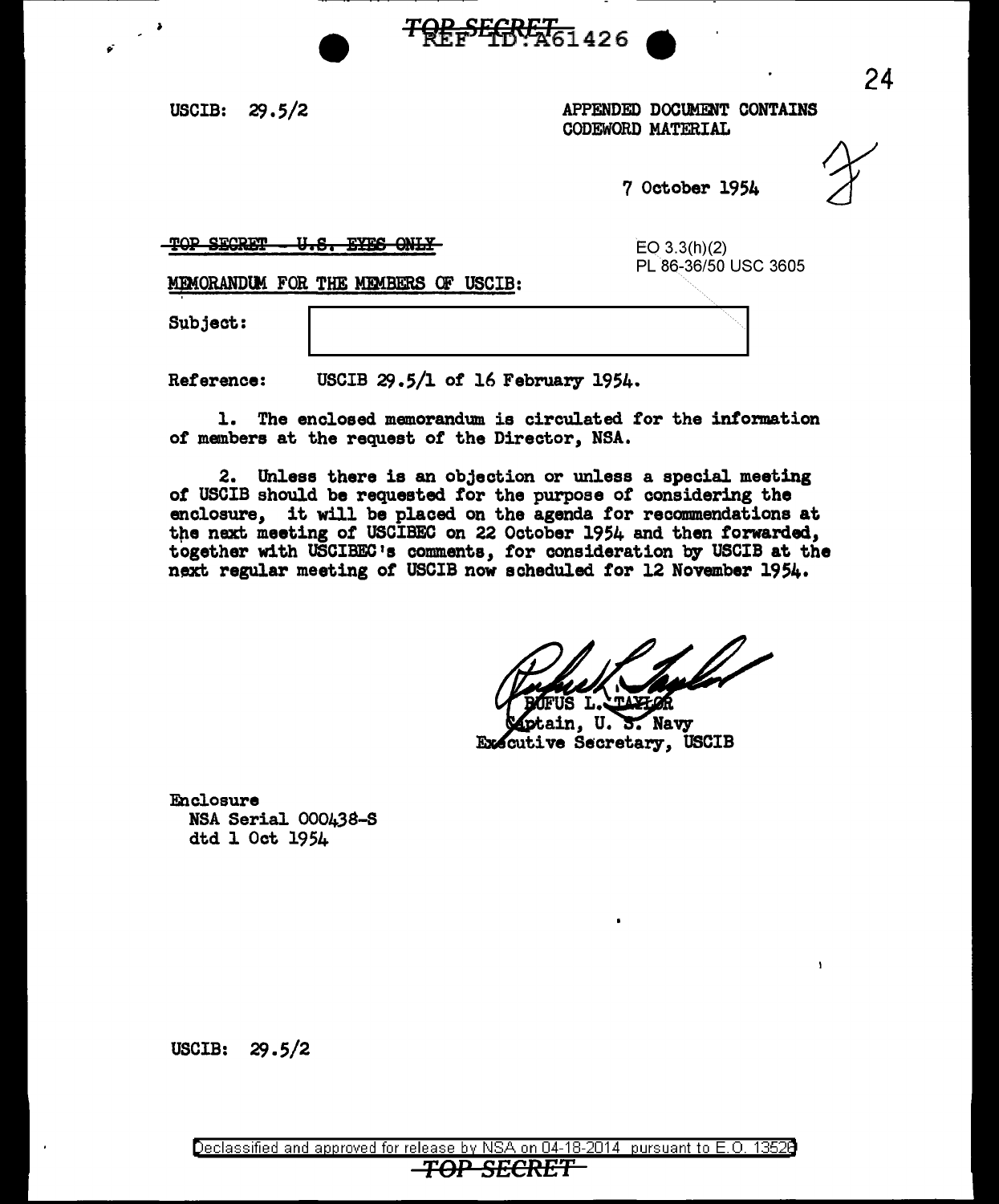USCIB:  $29.5/2$ 

~-

APPENDED DOCUMENT CONTAINS CODEWORD MATERIAL

7 October 1954

 $\mathbf{r}$ 

TOP SECRET - U.S. EYES ONLY

EO 3.3(h)(2) PL 86-36/50 USC 3605

MEMORANDUM FOR THE MEMBERS OF USCIB:

Subject:

Reference: USCIB  $29.5/1$  of 16 February 1954.

l. The enclosed memorandum is circulated tor the information of members at the request of the Director, NSA.

<del>TQP SECRET.</del> 426

2. Unless there is an objection or unless a special meeting *ot* USCIB should be requested for the purpose of considering the enclosure, it will be placed on the agenda for recommendations at the next meeting of USCIBEC on 22 October 1954 and then forwarded, together with USCIBEC 1s comments, tor consideration by USCIB at the next regular meeting *ot* USCIB now scheduled tor 12 November 1954.

 $\overline{S}$ . Navy **Executive Secretary, USCIB** 

Enclosure NSA Serial 000438-S dtd l Oct 1954

USCIB:  $29.5/2$ 

24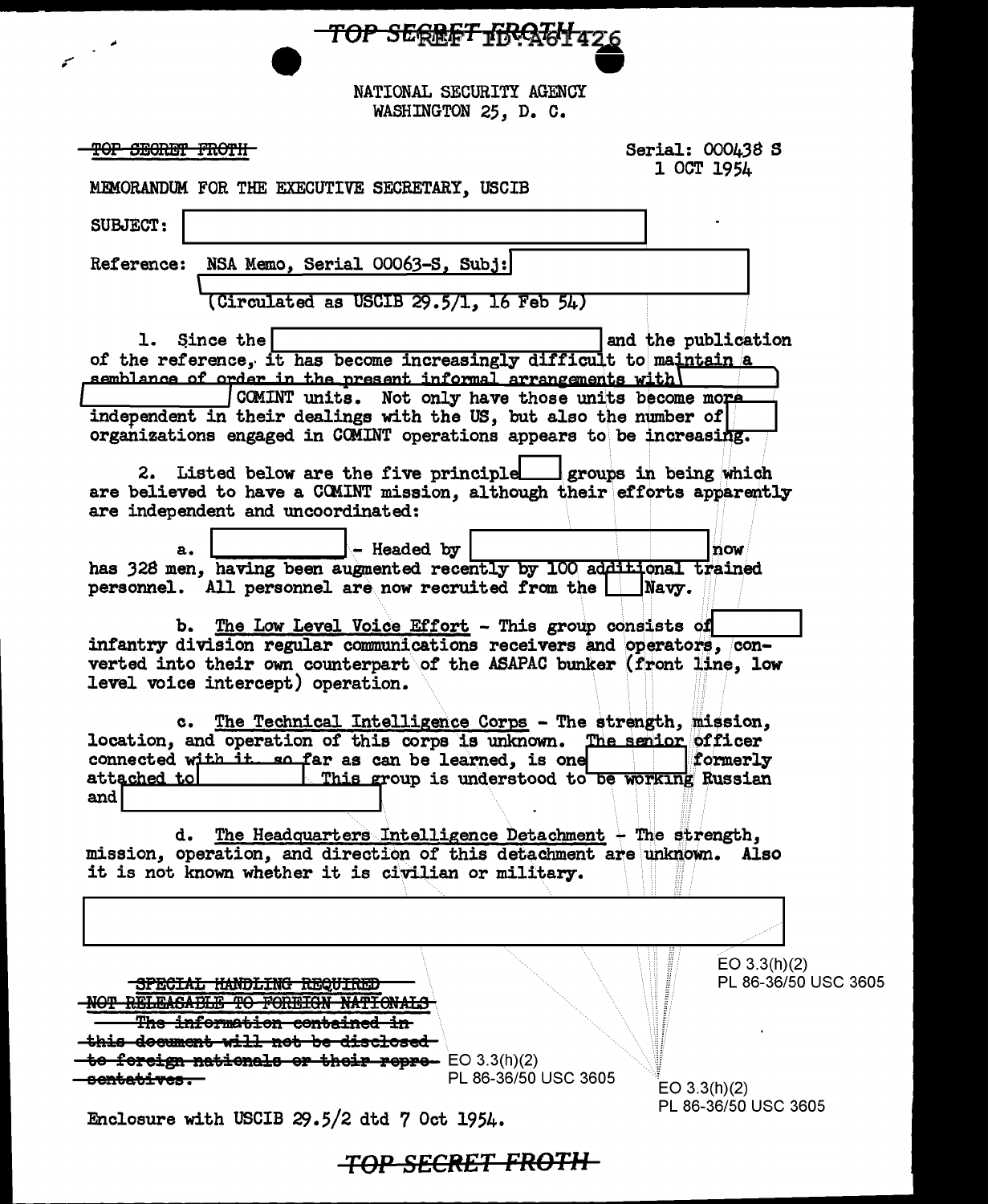NATIONAL SECURITY AGENCY

TOP SERRET FRATH 426

WASHINGTON 25, D. C.

TOP SECRET FROTH

سمه

Serial: 000438 S 1 OCT 1954

MEMORANDUM FOR THE EXECUTIVE SECRETARY, USCIB

| <b>SUBJECT:</b>                                                                                                                                   |
|---------------------------------------------------------------------------------------------------------------------------------------------------|
| NSA Memo, Serial 00063-S, Subj:<br><b>Reference:</b>                                                                                              |
|                                                                                                                                                   |
| $(Circulated as USCIB 29.5/1, 16 Feb 54)$                                                                                                         |
| Since the<br>and the publication<br>1. .                                                                                                          |
| of the reference, it has become increasingly difficult to maintain a                                                                              |
| semblance of order in the present informal arrangements with<br>COMINT units. Not only have those units become more                               |
| independent in their dealings with the US, but also the number of                                                                                 |
| organizations engaged in COMINT operations appears to be increasing.                                                                              |
|                                                                                                                                                   |
| 2. Listed below are the five principle groups in being which<br>are believed to have a COMINT mission, although their efforts apparently          |
| are independent and uncoordinated:                                                                                                                |
|                                                                                                                                                   |
| - Headed by<br>now<br>а.                                                                                                                          |
| has 328 men, having been augmented recently by 100 additional trained<br>personnel. All personnel are now recruited from the<br>Navy.             |
|                                                                                                                                                   |
| b. The Low Level Voice Effort - This group consists of                                                                                            |
| infantry division regular communications receivers and operators, con-<br>verted into their own counterpart of the ASAPAC bunker (front line, low |
| level voice intercept) operation.                                                                                                                 |
|                                                                                                                                                   |
| The Technical Intelligence Corps - The strength, mission,<br>$c_{\bullet}$                                                                        |
| location, and operation of this corps is unknown. The senior officer<br>connected with it so far as can be learned, is one<br>formerly            |
| attached to<br><u>I This group is understood to be working</u> Russian                                                                            |
| and                                                                                                                                               |
|                                                                                                                                                   |
| The Headquarters Intelligence Detachment - The strength,<br>d.<br>mission, operation, and direction of this detachment are unknown. Also          |
| it is not known whether it is civilian or military.                                                                                               |
|                                                                                                                                                   |
|                                                                                                                                                   |
|                                                                                                                                                   |
| EO 3.3(h)(2)                                                                                                                                      |
| PL 86-36/50 USC 3605<br>NPECIAL HANDLING REQUIRED                                                                                                 |
| <del>iformation</del>                                                                                                                             |
| <del>will non</del>                                                                                                                               |
| <del>thoir repre-</del> EO 3.3(h)(2)<br><del>orcien nationale</del><br>جه<br>PL 86-36/50 USC 3605                                                 |
| EO 3.3(h)(2)                                                                                                                                      |
| PL 86-36/50 USC 3605<br>Enclosure with USCIB 29.5/2 dtd 7 Oct 1954.                                                                               |
|                                                                                                                                                   |

| TOD CECRET EDATU   |  |
|--------------------|--|
| TUI JLCNLI TIIVTII |  |